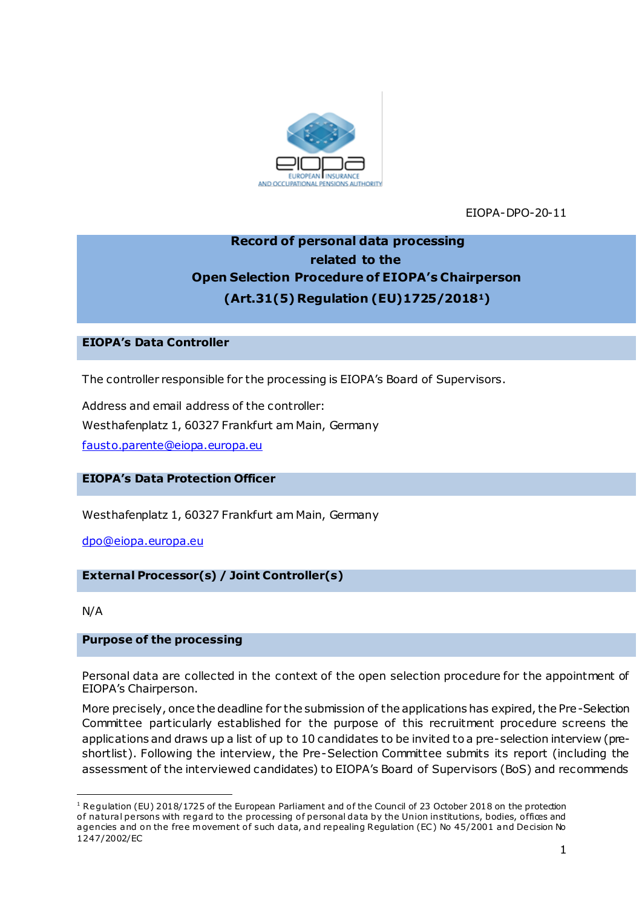

EIOPA-DPO-20-11

# **Record of personal data processing related to the Open Selection Procedure of EIOPA's Chairperson (Art.31(5) Regulation (EU)1725/20181)**

# **EIOPA's Data Controller**

The controller responsible for the processing is EIOPA's Board of Supervisors.

Address and email address of the controller: Westhafenplatz 1, 60327 Frankfurt am Main, Germany [fausto.parente@eiopa.europa.eu](mailto:fausto.parente@eiopa.europa.eu)

# **EIOPA's Data Protection Officer**

Westhafenplatz 1, 60327 Frankfurt am Main, Germany

[dpo@eiopa.europa.eu](mailto:dpo@eiopa.europa.eu)

### **External Processor(s) / Joint Controller(s)**

N/A

.

### **Purpose of the processing**

Personal data are collected in the context of the open selection procedure for the appointment of EIOPA's Chairperson.

More precisely, once the deadline for the submission of the applications has expired, the Pre-Selection Committee particularly established for the purpose of this recruitment procedure screens the applications and draws up a list of up to 10 candidates to be invited to a pre-selection interview (preshortlist). Following the interview, the Pre-Selection Committee submits its report (including the assessment of the interviewed candidates) to EIOPA's Board of Supervisors (BoS) and recommends

<sup>&</sup>lt;sup>1</sup> Regulation (EU) 2018/1725 of the European Parliament and of the Council of 23 October 2018 on the protection of natural persons with regard to the processing of personal data by the Union institutions, bodies, offices and agencies and on the free movement of such data, and repealing Regulation (EC) No 45/2001 and Decision No 1247/2002/EC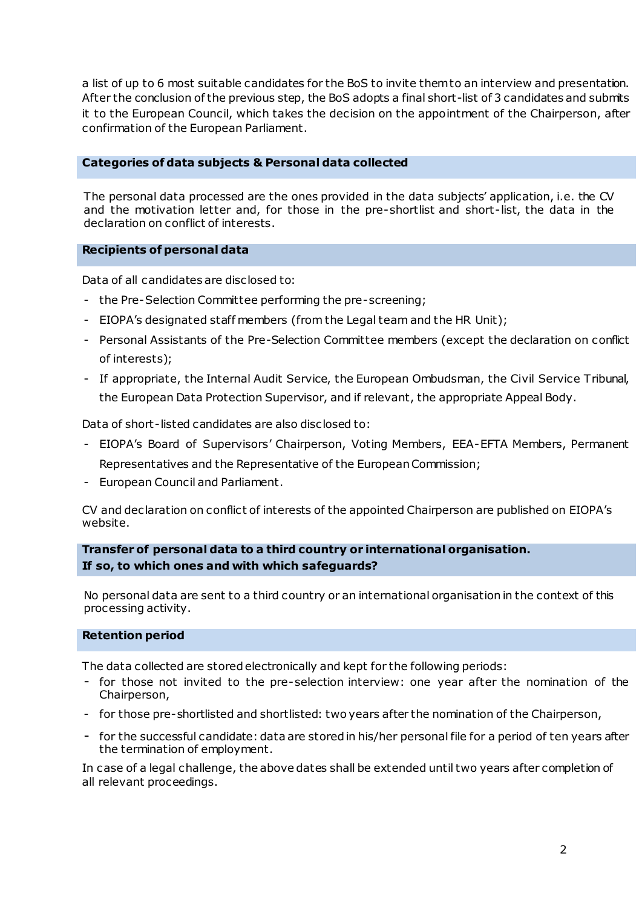a list of up to 6 most suitable candidates for the BoS to invite them to an interview and presentation. After the conclusion of the previous step, the BoS adopts a final short-list of 3 candidates and submits it to the European Council, which takes the decision on the appointment of the Chairperson, after confirmation of the European Parliament.

# **Categories of data subjects & Personal data collected**

The personal data processed are the ones provided in the data subjects' application, i.e. the CV and the motivation letter and, for those in the pre-shortlist and short-list, the data in the declaration on conflict of interests.

# **Recipients of personal data**

Data of all candidates are disclosed to:

- the Pre-Selection Committee performing the pre-screening;
- EIOPA's designated staff members (from the Legal team and the HR Unit);
- Personal Assistants of the Pre-Selection Committee members (except the declaration on conflict of interests);
- If appropriate, the Internal Audit Service, the European Ombudsman, the Civil Service Tribunal, the European Data Protection Supervisor, and if relevant, the appropriate Appeal Body.

Data of short-listed candidates are also disclosed to:

- EIOPA's Board of Supervisors' Chairperson, Voting Members, EEA-EFTA Members, Permanent Representatives and the Representative of the European Commission;
- European Council and Parliament.

CV and declaration on conflict of interests of the appointed Chairperson are published on EIOPA's website.

**Transfer of personal data to a third country or international organisation. If so, to which ones and with which safeguards?**

No personal data are sent to a third country or an international organisation in the context of this processing activity.

### **Retention period**

The data collected are stored electronically and kept for the following periods:

- for those not invited to the pre-selection interview: one year after the nomination of the Chairperson,
- for those pre-shortlisted and shortlisted: two years after the nomination of the Chairperson,
- for the successful candidate: data are stored in his/her personal file for a period of ten years after the termination of employment.

In case of a legal challenge, the above dates shall be extended until two years after completion of all relevant proceedings.